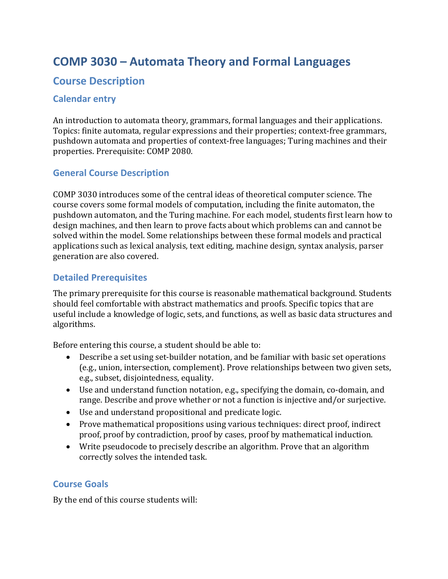# **COMP 3030 – Automata Theory and Formal Languages**

# **Course Description**

#### **Calendar entry**

An introduction to automata theory, grammars, formal languages and their applications. Topics: finite automata, regular expressions and their properties; context-free grammars, pushdown automata and properties of context-free languages; Turing machines and their properties. Prerequisite: COMP 2080.

#### **General Course Description**

COMP 3030 introduces some of the central ideas of theoretical computer science. The course covers some formal models of computation, including the finite automaton, the pushdown automaton, and the Turing machine. For each model, students first learn how to design machines, and then learn to prove facts about which problems can and cannot be solved within the model. Some relationships between these formal models and practical applications such as lexical analysis, text editing, machine design, syntax analysis, parser generation are also covered.

#### **Detailed Prerequisites**

The primary prerequisite for this course is reasonable mathematical background. Students should feel comfortable with abstract mathematics and proofs. Specific topics that are useful include a knowledge of logic, sets, and functions, as well as basic data structures and algorithms.

Before entering this course, a student should be able to:

- Describe a set using set-builder notation, and be familiar with basic set operations (e.g., union, intersection, complement). Prove relationships between two given sets, e.g., subset, disjointedness, equality.
- Use and understand function notation, e.g., specifying the domain, co-domain, and range. Describe and prove whether or not a function is injective and/or surjective.
- Use and understand propositional and predicate logic.
- Prove mathematical propositions using various techniques: direct proof, indirect proof, proof by contradiction, proof by cases, proof by mathematical induction.
- Write pseudocode to precisely describe an algorithm. Prove that an algorithm correctly solves the intended task.

#### **Course Goals**

By the end of this course students will: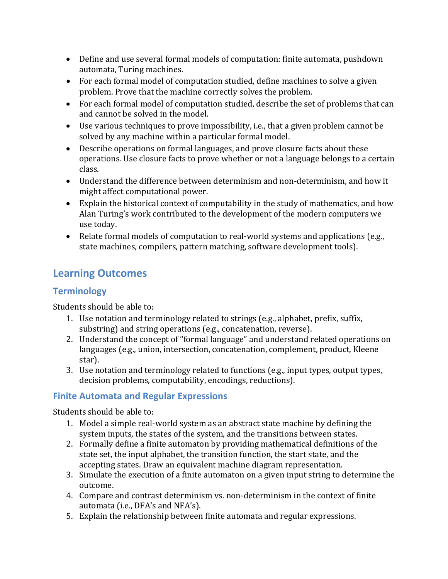- Define and use several formal models of computation: finite automata, pushdown automata, Turing machines.
- For each formal model of computation studied, define machines to solve a given problem. Prove that the machine correctly solves the problem.
- For each formal model of computation studied, describe the set of problems that can and cannot be solved in the model.
- Use various techniques to prove impossibility, i.e., that a given problem cannot be solved by any machine within a particular formal model.
- Describe operations on formal languages, and prove closure facts about these operations. Use closure facts to prove whether or not a language belongs to a certain class.
- Understand the difference between determinism and non-determinism, and how it might affect computational power.
- Explain the historical context of computability in the study of mathematics, and how Alan Turing's work contributed to the development of the modern computers we use today.
- Relate formal models of computation to real-world systems and applications (e.g., state machines, compilers, pattern matching, software development tools).

# **Learning Outcomes**

## **Terminology**

Students should be able to:

- 1. Use notation and terminology related to strings (e.g., alphabet, prefix, suffix, substring) and string operations (e.g., concatenation, reverse).
- 2. Understand the concept of "formal language" and understand related operations on languages (e.g., union, intersection, concatenation, complement, product, Kleene star).
- 3. Use notation and terminology related to functions (e.g., input types, output types, decision problems, computability, encodings, reductions).

## **Finite Automata and Regular Expressions**

- 1. Model a simple real-world system as an abstract state machine by defining the system inputs, the states of the system, and the transitions between states.
- 2. Formally define a finite automaton by providing mathematical definitions of the state set, the input alphabet, the transition function, the start state, and the accepting states. Draw an equivalent machine diagram representation.
- 3. Simulate the execution of a finite automaton on a given input string to determine the outcome.
- 4. Compare and contrast determinism vs. non-determinism in the context of finite automata (i.e., DFA's and NFA's).
- 5. Explain the relationship between finite automata and regular expressions.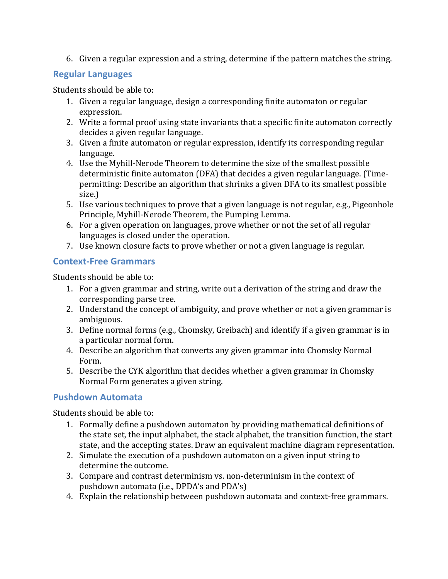6. Given a regular expression and a string, determine if the pattern matches the string.

## **Regular Languages**

Students should be able to:

- 1. Given a regular language, design a corresponding finite automaton or regular expression.
- 2. Write a formal proof using state invariants that a specific finite automaton correctly decides a given regular language.
- 3. Given a finite automaton or regular expression, identify its corresponding regular language.
- 4. Use the Myhill-Nerode Theorem to determine the size of the smallest possible deterministic finite automaton (DFA) that decides a given regular language. (Timepermitting: Describe an algorithm that shrinks a given DFA to its smallest possible size.)
- 5. Use various techniques to prove that a given language is not regular, e.g., Pigeonhole Principle, Myhill-Nerode Theorem, the Pumping Lemma.
- 6. For a given operation on languages, prove whether or not the set of all regular languages is closed under the operation.
- 7. Use known closure facts to prove whether or not a given language is regular.

# **Context-Free Grammars**

Students should be able to:

- 1. For a given grammar and string, write out a derivation of the string and draw the corresponding parse tree.
- 2. Understand the concept of ambiguity, and prove whether or not a given grammar is ambiguous.
- 3. Define normal forms  $(e.g., Chomsky, Greibach)$  and identify if a given grammar is in a particular normal form.
- 4. Describe an algorithm that converts any given grammar into Chomsky Normal Form.
- 5. Describe the CYK algorithm that decides whether a given grammar in Chomsky Normal Form generates a given string.

# **Pushdown Automata**

- 1. Formally define a pushdown automaton by providing mathematical definitions of the state set, the input alphabet, the stack alphabet, the transition function, the start state, and the accepting states. Draw an equivalent machine diagram representation.
- 2. Simulate the execution of a pushdown automaton on a given input string to determine the outcome.
- 3. Compare and contrast determinism vs. non-determinism in the context of pushdown automata (i.e., DPDA's and PDA's)
- 4. Explain the relationship between pushdown automata and context-free grammars.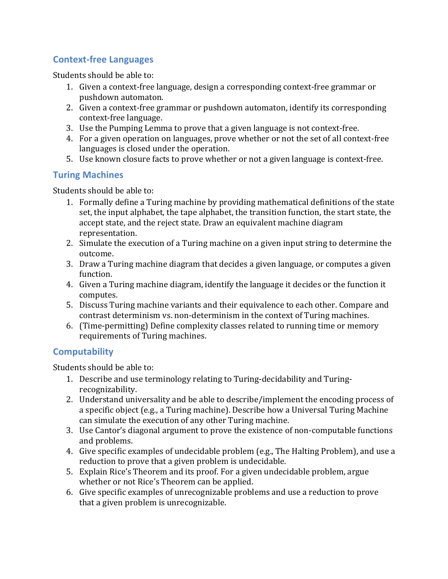# **Context-free Languages**

Students should be able to:

- 1. Given a context-free language, design a corresponding context-free grammar or pushdown automaton.
- 2. Given a context-free grammar or pushdown automaton, identify its corresponding context-free language.
- 3. Use the Pumping Lemma to prove that a given language is not context-free.
- 4. For a given operation on languages, prove whether or not the set of all context-free languages is closed under the operation.
- 5. Use known closure facts to prove whether or not a given language is context-free.

## **Turing Machines**

Students should be able to:

- 1. Formally define a Turing machine by providing mathematical definitions of the state set, the input alphabet, the tape alphabet, the transition function, the start state, the accept state, and the reject state. Draw an equivalent machine diagram representation.
- 2. Simulate the execution of a Turing machine on a given input string to determine the outcome.
- 3. Draw a Turing machine diagram that decides a given language, or computes a given function.
- 4. Given a Turing machine diagram, identify the language it decides or the function it computes.
- 5. Discuss Turing machine variants and their equivalence to each other. Compare and contrast determinism vs. non-determinism in the context of Turing machines.
- 6. (Time-permitting) Define complexity classes related to running time or memory requirements of Turing machines.

## **Computability**

- 1. Describe and use terminology relating to Turing-decidability and Turingrecognizability.
- 2. Understand universality and be able to describe/implement the encoding process of a specific object (e.g., a Turing machine). Describe how a Universal Turing Machine can simulate the execution of any other Turing machine.
- 3. Use Cantor's diagonal argument to prove the existence of non-computable functions and problems.
- 4. Give specific examples of undecidable problem (e.g., The Halting Problem), and use a reduction to prove that a given problem is undecidable.
- 5. Explain Rice's Theorem and its proof. For a given undecidable problem, argue whether or not Rice's Theorem can be applied.
- 6. Give specific examples of unrecognizable problems and use a reduction to prove that a given problem is unrecognizable.